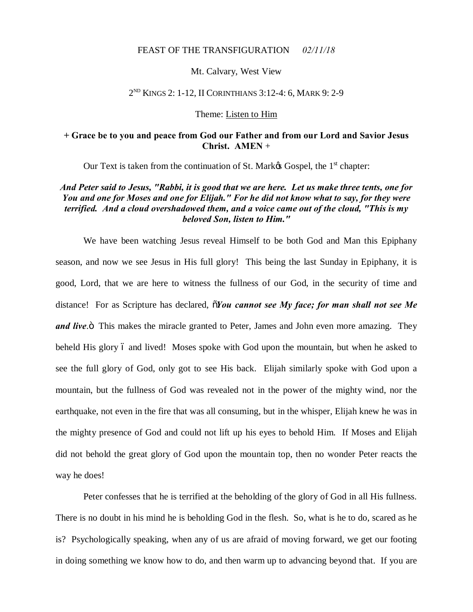### FEAST OF THE TRANSFIGURATION *02/11/18*

#### Mt. Calvary, West View

#### 2ND KINGS 2: 1-12, II CORINTHIANS 3:12-4: 6, MARK 9: 2-9

#### Theme: Listen to Him

### **+ Grace be to you and peace from God our Father and from our Lord and Savior Jesus Christ. AMEN** +

Our Text is taken from the continuation of St. Mark $\alpha$  Gospel, the 1<sup>st</sup> chapter:

# *And Peter said to Jesus, "Rabbi, it is good that we are here. Let us make three tents, one for You and one for Moses and one for Elijah." For he did not know what to say, for they were terrified. And a cloud overshadowed them, and a voice came out of the cloud, "This is my beloved Son, listen to Him."*

We have been watching Jesus reveal Himself to be both God and Man this Epiphany season, and now we see Jesus in His full glory! This being the last Sunday in Epiphany, it is good, Lord, that we are here to witness the fullness of our God, in the security of time and distance! For as Scripture has declared,  $\tilde{\alpha}$ *You cannot see My face; for man shall not see Me and live*.<sup>3</sup> This makes the miracle granted to Peter, James and John even more amazing. They beheld His glory 6 and lived! Moses spoke with God upon the mountain, but when he asked to see the full glory of God, only got to see His back. Elijah similarly spoke with God upon a mountain, but the fullness of God was revealed not in the power of the mighty wind, nor the earthquake, not even in the fire that was all consuming, but in the whisper, Elijah knew he was in the mighty presence of God and could not lift up his eyes to behold Him. If Moses and Elijah did not behold the great glory of God upon the mountain top, then no wonder Peter reacts the way he does!

Peter confesses that he is terrified at the beholding of the glory of God in all His fullness. There is no doubt in his mind he is beholding God in the flesh. So, what is he to do, scared as he is? Psychologically speaking, when any of us are afraid of moving forward, we get our footing in doing something we know how to do, and then warm up to advancing beyond that. If you are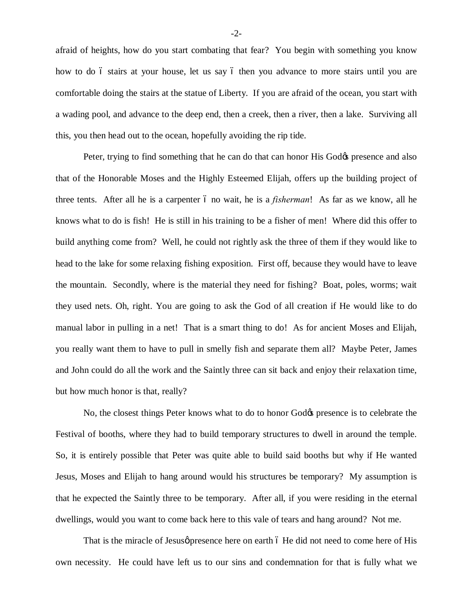afraid of heights, how do you start combating that fear? You begin with something you know how to do 6 stairs at your house, let us say 6 then you advance to more stairs until you are comfortable doing the stairs at the statue of Liberty. If you are afraid of the ocean, you start with a wading pool, and advance to the deep end, then a creek, then a river, then a lake. Surviving all this, you then head out to the ocean, hopefully avoiding the rip tide.

Peter, trying to find something that he can do that can honor His God $\alpha$  presence and also that of the Honorable Moses and the Highly Esteemed Elijah, offers up the building project of three tents. After all he is a carpenter 6 no wait, he is a *fisherman*! As far as we know, all he knows what to do is fish! He is still in his training to be a fisher of men! Where did this offer to build anything come from? Well, he could not rightly ask the three of them if they would like to head to the lake for some relaxing fishing exposition. First off, because they would have to leave the mountain. Secondly, where is the material they need for fishing? Boat, poles, worms; wait they used nets. Oh, right. You are going to ask the God of all creation if He would like to do manual labor in pulling in a net! That is a smart thing to do! As for ancient Moses and Elijah, you really want them to have to pull in smelly fish and separate them all? Maybe Peter, James and John could do all the work and the Saintly three can sit back and enjoy their relaxation time, but how much honor is that, really?

No, the closest things Peter knows what to do to honor God $\alpha$  presence is to celebrate the Festival of booths, where they had to build temporary structures to dwell in around the temple. So, it is entirely possible that Peter was quite able to build said booths but why if He wanted Jesus, Moses and Elijah to hang around would his structures be temporary? My assumption is that he expected the Saintly three to be temporary. After all, if you were residing in the eternal dwellings, would you want to come back here to this vale of tears and hang around? Not me.

That is the miracle of Jesusø presence here on earth 6 He did not need to come here of His own necessity. He could have left us to our sins and condemnation for that is fully what we

-2-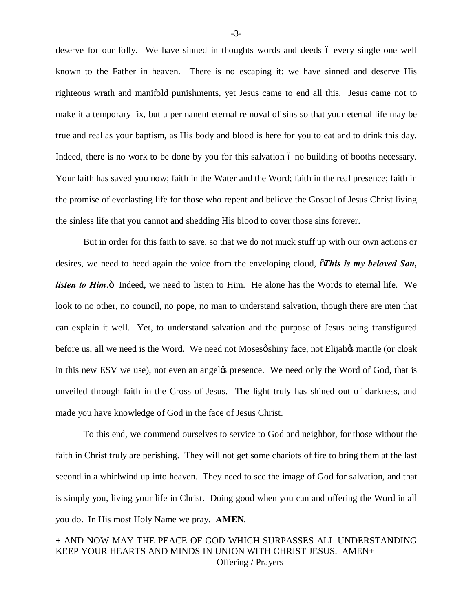deserve for our folly. We have sinned in thoughts words and deeds 6 every single one well known to the Father in heaven. There is no escaping it; we have sinned and deserve His righteous wrath and manifold punishments, yet Jesus came to end all this. Jesus came not to make it a temporary fix, but a permanent eternal removal of sins so that your eternal life may be true and real as your baptism, as His body and blood is here for you to eat and to drink this day. Indeed, there is no work to be done by you for this salvation 6 no building of booths necessary. Your faith has saved you now; faith in the Water and the Word; faith in the real presence; faith in the promise of everlasting life for those who repent and believe the Gospel of Jesus Christ living the sinless life that you cannot and shedding His blood to cover those sins forever.

But in order for this faith to save, so that we do not muck stuff up with our own actions or desires, we need to heed again the voice from the enveloping cloud,  $\tilde{o}$ *This is my beloved Son, listen to Him.*  $\ddot{o}$  Indeed, we need to listen to Him. He alone has the Words to eternal life. We look to no other, no council, no pope, no man to understand salvation, though there are men that can explain it well. Yet, to understand salvation and the purpose of Jesus being transfigured before us, all we need is the Word. We need not Moses oshiny face, not Elijahos mantle (or cloak in this new ESV we use), not even an angeløs presence. We need only the Word of God, that is unveiled through faith in the Cross of Jesus. The light truly has shined out of darkness, and made you have knowledge of God in the face of Jesus Christ.

To this end, we commend ourselves to service to God and neighbor, for those without the faith in Christ truly are perishing. They will not get some chariots of fire to bring them at the last second in a whirlwind up into heaven. They need to see the image of God for salvation, and that is simply you, living your life in Christ. Doing good when you can and offering the Word in all you do. In His most Holy Name we pray. **AMEN**.

# + AND NOW MAY THE PEACE OF GOD WHICH SURPASSES ALL UNDERSTANDING KEEP YOUR HEARTS AND MINDS IN UNION WITH CHRIST JESUS. AMEN+ Offering / Prayers

-3-